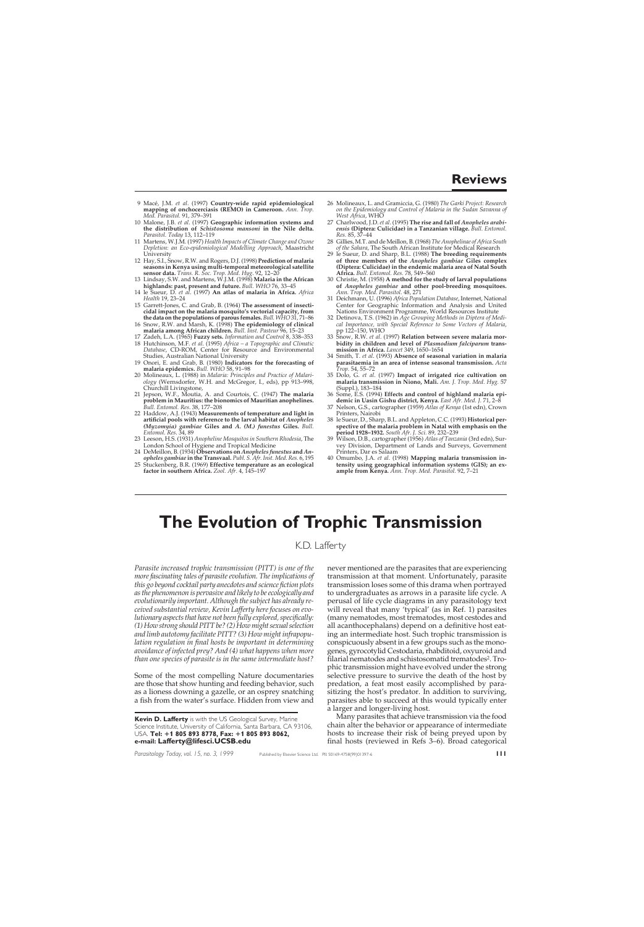- 9 Macé, J.M. *et al*. (1997) **Country-wide rapid epidemiological mapping of onchocerciasis (REMO) in Cameroon.** *Ann. Trop. Med. Parasitol.* 91, 379–391
- 10 Malone, J.B. *et al*. (1997) **Geographic information systems and the distribution of** *Schistosoma mansoni* **in the Nile delta.** *Parasitol. Today* 13, 112–119
- 11 Martens, W.J.M. (1997) *Health Impacts of Climate Change and Ozone Depletion: an Eco-epidemiological Modelling Approach*, Maastricht University
- 12 Hay, S.I., Snow, R.W. and Rogers, D.J. (1998) **Prediction of malaria seasons in Kenya using multi-temporal meteorological satellite sensor data.** *Trans. R. Soc. Trop. Med. Hyg*. 92, 12–20
- 13 Lindsay, S.W. and Martens, W.J.M. (1998) **Malaria in the African highlands: past, present and future.** *Bull. WHO* 76, 33–45
- 14 le Sueur, D. *et al*. (1997) **An atlas of malaria in Africa.** *Africa Health* 19, 23–24
- 15 Garrett-Jones, C. and Grab, B. (1964) **The assessment of insecticidal impact on the malaria mosquito's vectorial capacity, from the data on the populations of parous females.** *Bull. WHO*31, 71–86
- 16 Snow, R.W. and Marsh, K. (1998) **The epidemiology of clinical malaria among African children.** *Bull. Inst. Pasteur* 96, 15–23
- 17 Zadeh, L.A. (1965) **Fuzzy sets.** *Information and Control* 8, 338–353
- 18 Hutchinson, M.F. *et al*. (1995) *Africa a Topographic and Climatic Database*, CD-ROM, Center for Resource and Environmental Studies, Australian National University
- 19 Onori, E. and Grab, B. (1980) **Indicators for the forecasting of malaria epidemics.** *Bull. WHO* 58, 91–98
- 20 Molineaux, L. (1988) in *Malaria: Principles and Practice of Malariology* (Wernsdorfer, W.H. and McGregor, I., eds), pp 913–998, Churchill Livingstone,
- 21 Jepson, W.F., Moutia, A. and Courtois, C. (1947) **The malaria problem in Mauritius: the bionomics of Mauritian anophelines.** *Bull. Entomol. Res*. 38, 177–208
- 22 Haddow, A.J. (1943) **Measurements of temperature and light in artificial pools with reference to the larval habitat of** *Anopheles (Myzomyia) gambiae* **Giles and** *A. (M.) funestus* **Giles.** *Bull. Entomol. Res*. 34, 89
- 23 Leeson, H.S. (1931) *Anopheline Mosquitos in Southern Rhodesia*, The London School of Hygiene and Tropical Medicine
- 24 DeMeillon, B. (1934) **Observations on** *Anopheles funestus* **and** *Anopheles gambiae* **in the Transvaal.** *Publ. S. Afr. Inst. Med. Res.* 6, 195
- 25 Stuckenberg, B.R. (1969) **Effective temperature as an ecological factor in southern Africa.** *Zool. Afr.* 4, 145–197
- 26 Molineaux, L. and Gramiccia, G. (1980) *The Garki Project: Research on the Epidemiology and Control of Malaria in the Sudan Savanna of West Africa*, WHO
- 27 Charlwood, J.D. *et al*. (1995) **The rise and fall of** *Anopheles arabiensis* **(Diptera: Culicidae) in a Tanzanian village.** *Bull. Entomol. Res.* 85, 37–44
- 28 Gillies, M.T. and de Meillon, B. (1968) *The Anophelinae of Africa South of the Sahara*, The South African Institute for Medical Research
- 29 le Sueur, D. and Sharp, B.L. (1988) **The breeding requirements of three members of the** *Anopheles gambiae* **Giles complex (Diptera: Culicidae) in the endemic malaria area of Natal South Africa.** *Bull. Entomol. Res.* 78, 549–560
- 30 Christie, M. (1958) **A method for the study of larval populations of** *Anopheles gambiae* **and other pool-breeding mosquitoes.** *Ann. Trop. Med. Parasitol.* 48, 271
- 31 Deichmann, U. (1996) *Africa Population Database*, Internet, National Center for Geographic Information and Analysis and United Nations Environment Programme, World Resources Institute
- 32 Detinova, T.S. (1962) in *Age Grouping Methods in Diptera of Medical Importance, with Special Reference to Some Vectors of Malaria*, pp 122–150, WHO
- 33 Snow, R.W. *et al*. (1997) **Relation between severe malaria morbidity in children and level of** *Plasmodium falciparum* **transmission in Africa.** *Lancet* 349, 1650–1654
- 34 Smith, T. *et al*. (1993) **Absence of seasonal variation in malaria parasitaemia in an area of intense seasonal transmission.** *Acta Trop.* 54, 55–72
- 35 Dolo, G. *et al*. (1997) **Impact of irrigated rice cultivation on malaria transmission in Niono, Mali.** *Am. J. Trop. Med. Hyg.* 57 (Suppl.), 183–184
- 36 Some, E.S. (1994) **Effects and control of highland malaria epidemic in Uasin Gishu district, Kenya.** *East Afr. Med. J.* 71, 2–8
- 37 Nelson, G.S., cartographer (1959) *Atlas of Kenya* (1st edn), Crown Printers, Nairobi
- 38 le Sueur, D., Sharp, B.L. and Appleton, C.C. (1993) **Historical perspective of the malaria problem in Natal with emphasis on the period 1928–1932.** *South Afr. J. Sci.* 89, 232–239
- 39 Wilson, D.B., cartographer (1956) *Atlas of Tanzania* (3rd edn), Survey Division, Department of Lands and Surveys, Government Printers, Dar es Salaam
- 40 Omumbo, J.A. *et al*. (1998) **Mapping malaria transmission intensity using geographical information systems (GIS); an example from Kenya.** *Ann. Trop. Med. Parasitol.* 92, 7–21

# **The Evolution of Trophic Transmission**

K.D. Lafferty

*Parasite increased trophic transmission (PITT) is one of the more fascinating tales of parasite evolution. The implications of this go beyond cocktail party anecdotes and science fiction plots as the phenomenon is pervasive and likely to be ecologically and evolutionarily important. Although the subject has already received substantial review, Kevin Lafferty here focuses on evolutionary aspects that have not been fully explored, specifically: (1) How strong should PITT be? (2) How might sexual selection and limb autotomy facilitate PITT? (3) How might infrapopulation regulation in final hosts be important in determining avoidance of infected prey? And (4) what happens when more than one species of parasite is in the same intermediate host?*

Some of the most compelling Nature documentaries are those that show hunting and feeding behavior, such as a lioness downing a gazelle, or an osprey snatching a fish from the water's surface. Hidden from view and

**Kevin D. Lafferty** is with the US Geological Survey, Marine Science Institute, University of California, Santa Barbara, CA 93106, USA. **Tel:** 1**1 805 893 8778, Fax:** 1**1 805 893 8062, e-mail: Lafferty@lifesci.UCSB.edu**

never mentioned are the parasites that are experiencing transmission at that moment. Unfortunately, parasite transmission loses some of this drama when portrayed to undergraduates as arrows in a parasite life cycle. A perusal of life cycle diagrams in any parasitology text will reveal that many 'typical' (as in Ref. 1) parasites (many nematodes, most trematodes, most cestodes and all acanthocephalans) depend on a definitive host eating an intermediate host. Such trophic transmission is conspicuously absent in a few groups such as the monogenes, gyrocotylid Cestodaria, rhabditoid, oxyuroid and filarial nematodes and schistosomatid trematodes2. Trophic transmission might have evolved under the strong selective pressure to survive the death of the host by predation, a feat most easily accomplished by parasitizing the host's predator. In addition to surviving, parasites able to succeed at this would typically enter a larger and longer-living host.

Many parasites that achieve transmission via the food chain alter the behavior or appearance of intermediate hosts to increase their risk of being preyed upon by final hosts (reviewed in Refs 3–6). Broad categorical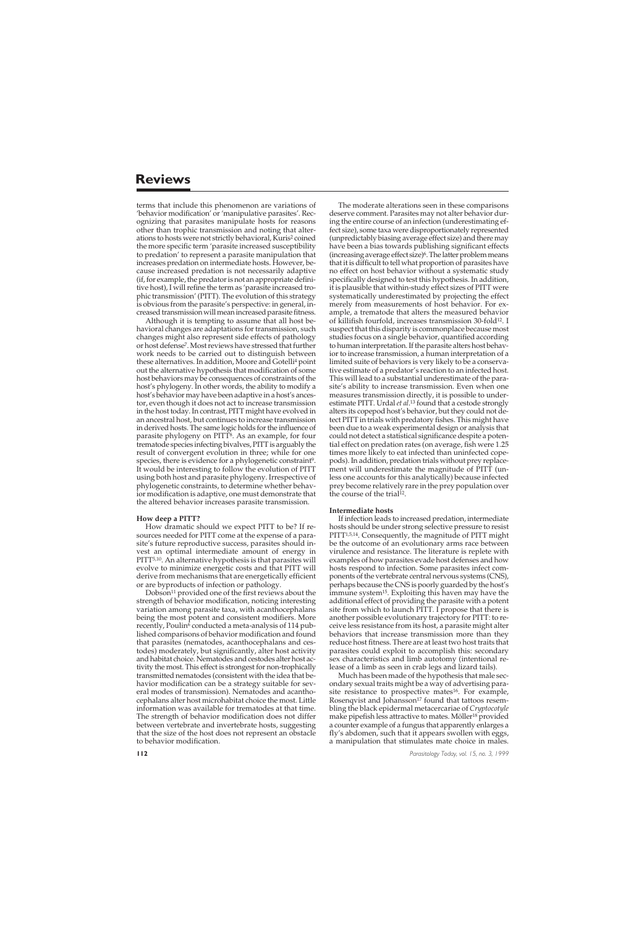terms that include this phenomenon are variations of 'behavior modification' or 'manipulative parasites'. Recognizing that parasites manipulate hosts for reasons other than trophic transmission and noting that alterations to hosts were not strictly behavioral, Kuris2 coined the more specific term 'parasite increased susceptibility to predation' to represent a parasite manipulation that increases predation on intermediate hosts. However, because increased predation is not necessarily adaptive (if, for example, the predator is not an appropriate definitive host), I will refine the term as 'parasite increased trophic transmission' (PITT). The evolution of this strategy is obvious from the parasite's perspective: in general, increased transmission will mean increased parasite fitness.

Although it is tempting to assume that all host behavioral changes are adaptations for transmission, such changes might also represent side effects of pathology or host defense7. Most reviews have stressed that further work needs to be carried out to distinguish between these alternatives. In addition, Moore and Gotelli<sup>4</sup> point out the alternative hypothesis that modification of some host behaviors may be consequences of constraints of the host's phylogeny. In other words, the ability to modify a host's behavior may have been adaptive in a host's ancestor, even though it does not act to increase transmission in the host today. In contrast, PITT might have evolved in an ancestral host, but continues to increase transmission in derived hosts. The same logic holds for the influence of parasite phylogeny on PITT<sup>8</sup>. As an example, for four trematode species infecting bivalves, PITT is arguably the result of convergent evolution in three; while for one species, there is evidence for a phylogenetic constraint<sup>9</sup>. It would be interesting to follow the evolution of PITT using both host and parasite phylogeny. Irrespective of phylogenetic constraints, to determine whether behavior modification is adaptive, one must demonstrate that the altered behavior increases parasite transmission.

## **How deep a PITT?**

How dramatic should we expect PITT to be? If resources needed for PITT come at the expense of a parasite's future reproductive success, parasites should invest an optimal intermediate amount of energy in PITT5,10. An alternative hypothesis is that parasites will evolve to minimize energetic costs and that PITT will derive from mechanisms that are energetically efficient or are byproducts of infection or pathology.

Dobson<sup>11</sup> provided one of the first reviews about the strength of behavior modification, noticing interesting variation among parasite taxa, with acanthocephalans being the most potent and consistent modifiers. More recently, Poulin<sup>6</sup> conducted a meta-analysis of 114 published comparisons of behavior modification and found that parasites (nematodes, acanthocephalans and cestodes) moderately, but significantly, alter host activity and habitat choice. Nematodes and cestodes alter host activity the most. This effect is strongest for non-trophically transmitted nematodes (consistent with the idea that behavior modification can be a strategy suitable for several modes of transmission). Nematodes and acanthocephalans alter host microhabitat choice the most. Little information was available for trematodes at that time. The strength of behavior modification does not differ between vertebrate and invertebrate hosts, suggesting that the size of the host does not represent an obstacle to behavior modification.

deserve comment. Parasites may not alter behavior during the entire course of an infection (underestimating effect size), some taxa were disproportionately represented (unpredictably biasing average effect size) and there may have been a bias towards publishing significant effects (increasing average effect size)6. The latter problem means that it is difficult to tell what proportion of parasites have no effect on host behavior without a systematic study specifically designed to test this hypothesis. In addition, it is plausible that within-study effect sizes of PITT were systematically underestimated by projecting the effect merely from measurements of host behavior. For example, a trematode that alters the measured behavior of killifish fourfold, increases transmission 30-fold12. I suspect that this disparity is commonplace because most studies focus on a single behavior, quantified according to human interpretation. If the parasite alters host behavior to increase transmission, a human interpretation of a limited suite of behaviors is very likely to be a conservative estimate of a predator's reaction to an infected host. This will lead to a substantial underestimate of the parasite's ability to increase transmission. Even when one measures transmission directly, it is possible to underestimate PITT. Urdal *et al*. <sup>13</sup> found that a cestode strongly alters its copepod host's behavior, but they could not detect PITT in trials with predatory fishes. This might have been due to a weak experimental design or analysis that could not detect a statistical significance despite a potential effect on predation rates (on average, fish were 1.25 times more likely to eat infected than uninfected copepods). In addition, predation trials without prey replacement will underestimate the magnitude of PITT (unless one accounts for this analytically) because infected prey become relatively rare in the prey population over the course of the trial12.

The moderate alterations seen in these comparisons

## **Intermediate hosts**

If infection leads to increased predation, intermediate hosts should be under strong selective pressure to resist PITT1,5,14. Consequently, the magnitude of PITT might be the outcome of an evolutionary arms race between virulence and resistance. The literature is replete with examples of how parasites evade host defenses and how hosts respond to infection. Some parasites infect components of the vertebrate central nervous systems (CNS), perhaps because the CNS is poorly guarded by the host's immune system15. Exploiting this haven may have the additional effect of providing the parasite with a potent site from which to launch PITT. I propose that there is another possible evolutionary trajectory for PITT: to receive less resistance from its host, a parasite might alter behaviors that increase transmission more than they reduce host fitness. There are at least two host traits that parasites could exploit to accomplish this: secondary sex characteristics and limb autotomy (intentional release of a limb as seen in crab legs and lizard tails).

Much has been made of the hypothesis that male secondary sexual traits might be a way of advertising parasite resistance to prospective mates<sup>16</sup>. For example, Rosenqvist and Johansson<sup>17</sup> found that tattoos resembling the black epidermal metacercariae of *Cryptocotyle* make pipefish less attractive to mates. Möller<sup>18</sup> provided a counter example of a fungus that apparently enlarges a fly's abdomen, such that it appears swollen with eggs, a manipulation that stimulates mate choice in males.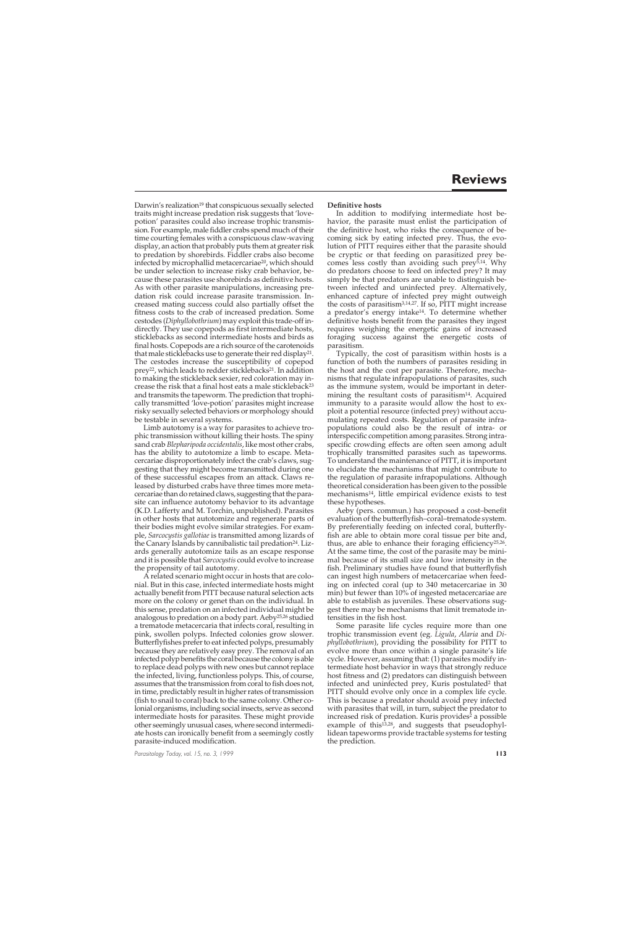Darwin's realization<sup>19</sup> that conspicuous sexually selected traits might increase predation risk suggests that 'lovepotion' parasites could also increase trophic transmission. For example, male fiddler crabs spend much of their time courting females with a conspicuous claw-waving display, an action that probably puts them at greater risk to predation by shorebirds. Fiddler crabs also become infected by microphallid metacercariae<sup>20</sup>, which should be under selection to increase risky crab behavior, because these parasites use shorebirds as definitive hosts. As with other parasite manipulations, increasing predation risk could increase parasite transmission. Increased mating success could also partially offset the fitness costs to the crab of increased predation. Some cestodes (*Diphyllobothrium*) may exploit this trade-off indirectly. They use copepods as first intermediate hosts, sticklebacks as second intermediate hosts and birds as final hosts. Copepods are a rich source of the carotenoids that male sticklebacks use to generate their red display21. The cestodes increase the susceptibility of copepod prey<sup>22</sup>, which leads to redder sticklebacks<sup>21</sup>. In addition to making the stickleback sexier, red coloration may increase the risk that a final host eats a male stickleback<sup>23</sup> and transmits the tapeworm. The prediction that trophically transmitted 'love-potion' parasites might increase risky sexually selected behaviors or morphology should be testable in several systems.

Limb autotomy is a way for parasites to achieve trophic transmission without killing their hosts. The spiny sand crab *Blepharipoda occidentalis*, like most other crabs, has the ability to autotomize a limb to escape. Metacercariae disproportionately infect the crab's claws, suggesting that they might become transmitted during one of these successful escapes from an attack. Claws released by disturbed crabs have three times more metacercariae than do retained claws, suggesting that the parasite can influence autotomy behavior to its advantage (K.D. Lafferty and M. Torchin, unpublished). Parasites in other hosts that autotomize and regenerate parts of their bodies might evolve similar strategies. For example, *Sarcocystis gallotiae* is transmitted among lizards of the Canary Islands by cannibalistic tail predation<sup>24</sup>. Lizards generally autotomize tails as an escape response and it is possible that *Sarcocystis* could evolve to increase the propensity of tail autotomy.

A related scenario might occur in hosts that are colonial. But in this case, infected intermediate hosts might actually benefit from PITT because natural selection acts more on the colony or genet than on the individual. In this sense, predation on an infected individual might be analogous to predation on a body part. Aeby25,26 studied a trematode metacercaria that infects coral, resulting in pink, swollen polyps. Infected colonies grow slower. Butterflyfishes prefer to eat infected polyps, presumably because they are relatively easy prey. The removal of an infected polyp benefits the coral because the colony is able to replace dead polyps with new ones but cannot replace the infected, living, functionless polyps. This, of course, assumes that the transmission from coral to fish does not, in time, predictably result in higher rates of transmission (fish to snail to coral) back to the same colony. Other colonial organisms, including social insects, serve as second intermediate hosts for parasites. These might provide other seemingly unusual cases, where second intermediate hosts can ironically benefit from a seemingly costly parasite-induced modification.

In addition to modifying intermediate host behavior, the parasite must enlist the participation of the definitive host, who risks the consequence of becoming sick by eating infected prey. Thus, the evolution of PITT requires either that the parasite should be cryptic or that feeding on parasitized prey becomes less costly than avoiding such prey<sup>5,14</sup>. Why do predators choose to feed on infected prey? It may simply be that predators are unable to distinguish between infected and uninfected prey. Alternatively, enhanced capture of infected prey might outweigh the costs of parasitism3,14,27. If so, PITT might increase a predator's energy intake<sup>14</sup>. To determine whether definitive hosts benefit from the parasites they ingest requires weighing the energetic gains of increased foraging success against the energetic costs of parasitism.

Typically, the cost of parasitism within hosts is a function of both the numbers of parasites residing in the host and the cost per parasite. Therefore, mechanisms that regulate infrapopulations of parasites, such as the immune system, would be important in determining the resultant costs of parasitism<sup>14</sup>. Acquired immunity to a parasite would allow the host to exploit a potential resource (infected prey) without accumulating repeated costs. Regulation of parasite infrapopulations could also be the result of intra- or interspecific competition among parasites. Strong intraspecific crowding effects are often seen among adult trophically transmitted parasites such as tapeworms. To understand the maintenance of PITT, it is important to elucidate the mechanisms that might contribute to the regulation of parasite infrapopulations. Although theoretical consideration has been given to the possible mechanisms14, little empirical evidence exists to test these hypotheses.

Aeby (pers. commun.) has proposed a cost–benefit evaluation of the butterflyfish–coral–trematode system. By preferentially feeding on infected coral, butterflyfish are able to obtain more coral tissue per bite and, thus, are able to enhance their foraging efficiency25,26. At the same time, the cost of the parasite may be minimal because of its small size and low intensity in the fish. Preliminary studies have found that butterflyfish can ingest high numbers of metacercariae when feeding on infected coral (up to 340 metacercariae in 30 min) but fewer than 10% of ingested metacercariae are able to establish as juveniles. These observations suggest there may be mechanisms that limit trematode intensities in the fish host.

Some parasite life cycles require more than one trophic transmission event (eg. *Ligula*, *Alaria* and *Diphyllobothrium*), providing the possibility for PITT to evolve more than once within a single parasite's life cycle. However, assuming that: (1) parasites modify intermediate host behavior in ways that strongly reduce host fitness and (2) predators can distinguish between infected and uninfected prey, Kuris postulated<sup>2</sup> that PITT should evolve only once in a complex life cycle. This is because a predator should avoid prey infected with parasites that will, in turn, subject the predator to increased risk of predation. Kuris provides $\overline{2}$  a possible example of this<sup>13,28</sup>, and suggests that pseudophyllidean tapeworms provide tractable systems for testing the prediction.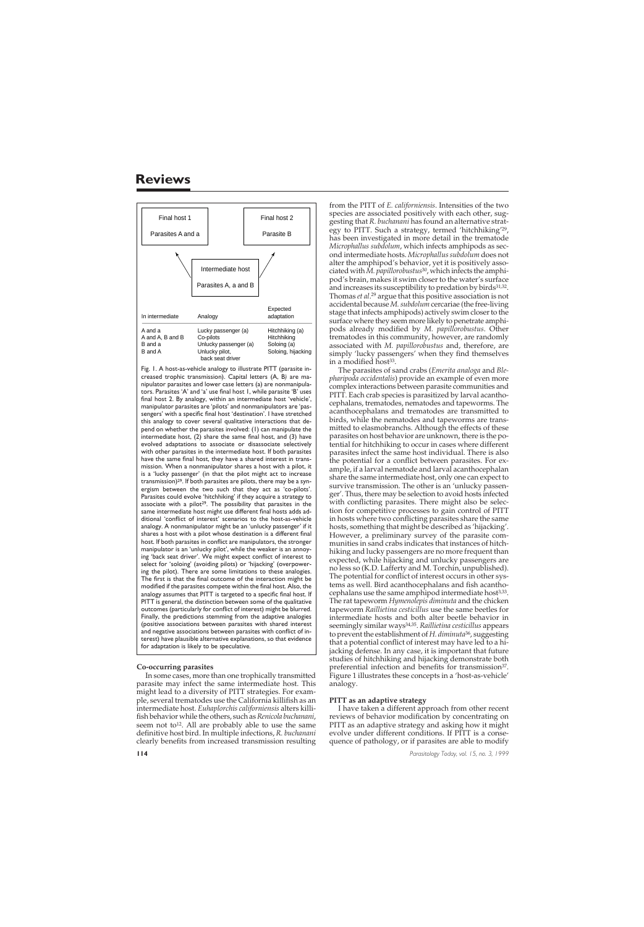

Fig. 1. A host-as-vehicle analogy to illustrate PITT (parasite increased trophic transmission). Capital letters (A, B*)* are manipulator parasites and lower case letters (a) are nonmanipulators. Parasites 'A' and 'a' use final host 1, while parasite 'B' uses final host 2. By analogy, within an intermediate host 'vehicle', manipulator parasites are 'pilots' and nonmanipulators are 'passengers' with a specific final host 'destination'. I have stretched this analogy to cover several qualitative interactions that depend on whether the parasites involved: (1) can manipulate the intermediate host, (2) share the same final host, and (3) have evolved adaptations to associate or disassociate selectively with other parasites in the intermediate host. If both parasites have the same final host, they have a shared interest in transmission. When a nonmanipulator shares a host with a pilot, it is a 'lucky passenger' (in that the pilot might act to increase transmission)29. If both parasites are pilots, there may be a synergism between the two such that they act as 'co-pilots'. Parasites could evolve 'hitchhiking' if they acquire a strategy to associate with a pilot<sup>29</sup>. The possibility that parasites in the same intermediate host might use different final hosts adds additional 'conflict of interest' scenarios to the host-as-vehicle analogy. A nonmanipulator might be an 'unlucky passenger' if it shares a host with a pilot whose destination is a different final host. If both parasites in conflict are manipulators, the stronger manipulator is an 'unlucky pilot', while the weaker is an annoying 'back seat driver'. We might expect conflict of interest to select for 'soloing' (avoiding pilots) or 'hijacking' (overpowering the pilot). There are some limitations to these analogies. The first is that the final outcome of the interaction might be modified if the parasites compete within the final host. Also, the analogy assumes that PITT is targeted to a specific final host. If PITT is general, the distinction between some of the qualitative outcomes (particularly for conflict of interest) might be blurred. Finally, the predictions stemming from the adaptive analogies (positive associations between parasites with shared interest and negative associations between parasites with conflict of interest) have plausible alternative explanations, so that evidence for adaptation is likely to be speculative.

#### **Co-occurring parasites**

In some cases, more than one trophically transmitted parasite may infect the same intermediate host. This might lead to a diversity of PITT strategies. For example, several trematodes use the California killifish as an intermediate host. *Euhaplorchis californiensis* alters killifish behavior while the others, such as *Renicola buchanani*, seem not to<sup>12</sup>. All are probably able to use the same definitive host bird. In multiple infections, *R. buchanani* clearly benefits from increased transmission resulting

from the PITT of *E. californiensis*. Intensities of the two species are associated positively with each other, suggesting that *R. buchanani* has found an alternative strategy to PITT. Such a strategy, termed 'hitchhiking'29, has been investigated in more detail in the trematode *Microphallus subdolum*, which infects amphipods as second intermediate hosts. *Microphallus subdolum* does not alter the amphipod's behavior, yet it is positively associated with *M. papillorobustus*30, which infects the amphipod's brain, makes it swim closer to the water's surface and increases its susceptibility to predation by birds<sup>31,32</sup>. Thomas *et al*. <sup>29</sup> argue that this positive association is not accidental because *M. subdolum* cercariae (the free-living stage that infects amphipods) actively swim closer to the surface where they seem more likely to penetrate amphipods already modified by *M. papillorobustus*. Other trematodes in this community, however, are randomly associated with *M. papillorobustus* and, therefore, are simply 'lucky passengers' when they find themselves in a modified host<sup>33</sup>.

The parasites of sand crabs (*Emerita analoga* and *Blepharipoda occidentalis*) provide an example of even more complex interactions between parasite communities and PITT. Each crab species is parasitized by larval acanthocephalans, trematodes, nematodes and tapeworms. The acanthocephalans and trematodes are transmitted to birds, while the nematodes and tapeworms are transmitted to elasmobranchs. Although the effects of these parasites on host behavior are unknown, there is the potential for hitchhiking to occur in cases where different parasites infect the same host individual. There is also the potential for a conflict between parasites. For example, if a larval nematode and larval acanthocephalan share the same intermediate host, only one can expect to survive transmission. The other is an 'unlucky passenger'. Thus, there may be selection to avoid hosts infected with conflicting parasites. There might also be selection for competitive processes to gain control of PITT in hosts where two conflicting parasites share the same hosts, something that might be described as 'hijacking'. However, a preliminary survey of the parasite communities in sand crabs indicates that instances of hitchhiking and lucky passengers are no more frequent than expected, while hijacking and unlucky passengers are no less so (K.D. Lafferty and M. Torchin, unpublished). The potential for conflict of interest occurs in other systems as well. Bird acanthocephalans and fish acanthocephalans use the same amphipod intermediate host<sup>3,33</sup>. The rat tapeworm *Hymenolepis diminuta* and the chicken tapeworm *Raillietina cesticillus* use the same beetles for intermediate hosts and both alter beetle behavior in seemingly similar ways34,35. *Raillietina cesticillus* appears to prevent the establishment of *H. diminuta*36, suggesting that a potential conflict of interest may have led to a hijacking defense. In any case, it is important that future studies of hitchhiking and hijacking demonstrate both preferential infection and benefits for transmission<sup>37</sup>. Figure 1 illustrates these concepts in a 'host-as-vehicle' analogy.

#### **PITT as an adaptive strategy**

I have taken a different approach from other recent reviews of behavior modification by concentrating on PITT as an adaptive strategy and asking how it might evolve under different conditions. If PITT is a consequence of pathology, or if parasites are able to modify